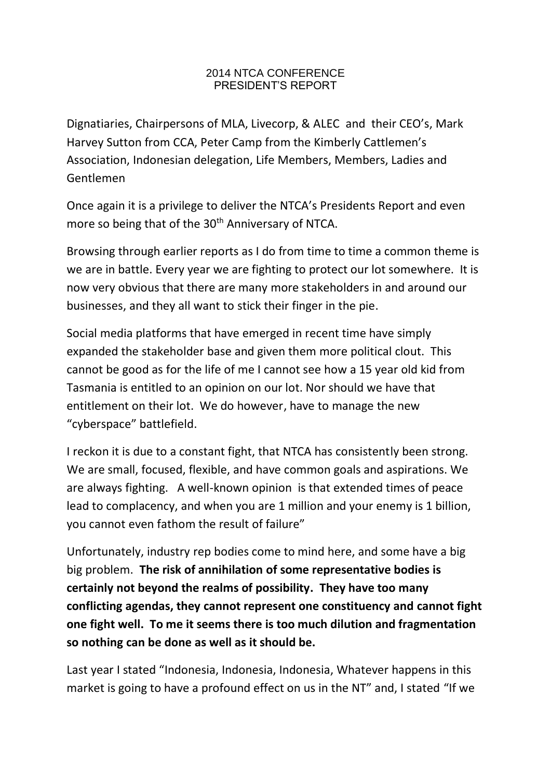#### 2014 NTCA CONFERENCE PRESIDENT'S REPORT

Dignatiaries, Chairpersons of MLA, Livecorp, & ALEC and their CEO's, Mark Harvey Sutton from CCA, Peter Camp from the Kimberly Cattlemen's Association, Indonesian delegation, Life Members, Members, Ladies and Gentlemen

Once again it is a privilege to deliver the NTCA's Presidents Report and even more so being that of the 30<sup>th</sup> Anniversary of NTCA.

Browsing through earlier reports as I do from time to time a common theme is we are in battle. Every year we are fighting to protect our lot somewhere. It is now very obvious that there are many more stakeholders in and around our businesses, and they all want to stick their finger in the pie.

Social media platforms that have emerged in recent time have simply expanded the stakeholder base and given them more political clout. This cannot be good as for the life of me I cannot see how a 15 year old kid from Tasmania is entitled to an opinion on our lot. Nor should we have that entitlement on their lot. We do however, have to manage the new "cyberspace" battlefield.

I reckon it is due to a constant fight, that NTCA has consistently been strong. We are small, focused, flexible, and have common goals and aspirations. We are always fighting. A well-known opinion is that extended times of peace lead to complacency, and when you are 1 million and your enemy is 1 billion, you cannot even fathom the result of failure"

Unfortunately, industry rep bodies come to mind here, and some have a big big problem. **The risk of annihilation of some representative bodies is certainly not beyond the realms of possibility. They have too many conflicting agendas, they cannot represent one constituency and cannot fight one fight well. To me it seems there is too much dilution and fragmentation so nothing can be done as well as it should be.**

Last year I stated "Indonesia, Indonesia, Indonesia, Whatever happens in this market is going to have a profound effect on us in the NT" and, I stated "If we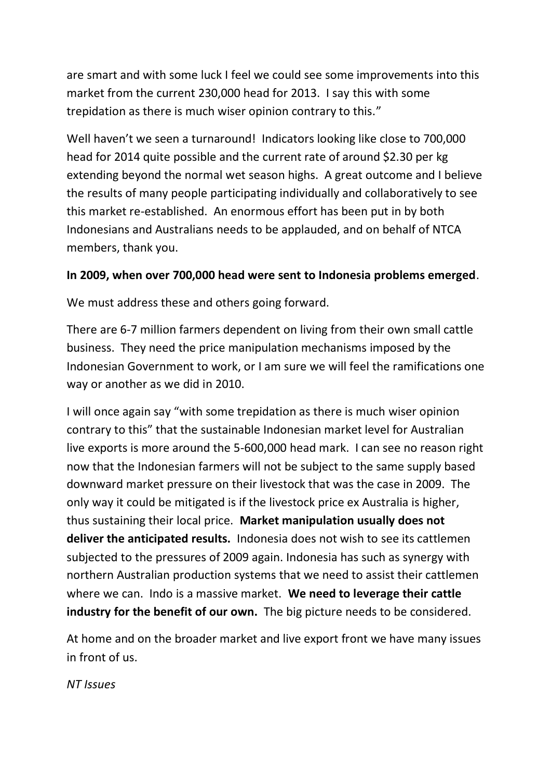are smart and with some luck I feel we could see some improvements into this market from the current 230,000 head for 2013. I say this with some trepidation as there is much wiser opinion contrary to this."

Well haven't we seen a turnaround! Indicators looking like close to 700,000 head for 2014 quite possible and the current rate of around \$2.30 per kg extending beyond the normal wet season highs. A great outcome and I believe the results of many people participating individually and collaboratively to see this market re-established. An enormous effort has been put in by both Indonesians and Australians needs to be applauded, and on behalf of NTCA members, thank you.

### **In 2009, when over 700,000 head were sent to Indonesia problems emerged**.

We must address these and others going forward.

There are 6-7 million farmers dependent on living from their own small cattle business. They need the price manipulation mechanisms imposed by the Indonesian Government to work, or I am sure we will feel the ramifications one way or another as we did in 2010.

I will once again say "with some trepidation as there is much wiser opinion contrary to this" that the sustainable Indonesian market level for Australian live exports is more around the 5-600,000 head mark. I can see no reason right now that the Indonesian farmers will not be subject to the same supply based downward market pressure on their livestock that was the case in 2009. The only way it could be mitigated is if the livestock price ex Australia is higher, thus sustaining their local price. **Market manipulation usually does not deliver the anticipated results.** Indonesia does not wish to see its cattlemen subjected to the pressures of 2009 again. Indonesia has such as synergy with northern Australian production systems that we need to assist their cattlemen where we can. Indo is a massive market. **We need to leverage their cattle industry for the benefit of our own.** The big picture needs to be considered.

At home and on the broader market and live export front we have many issues in front of us.

*NT Issues*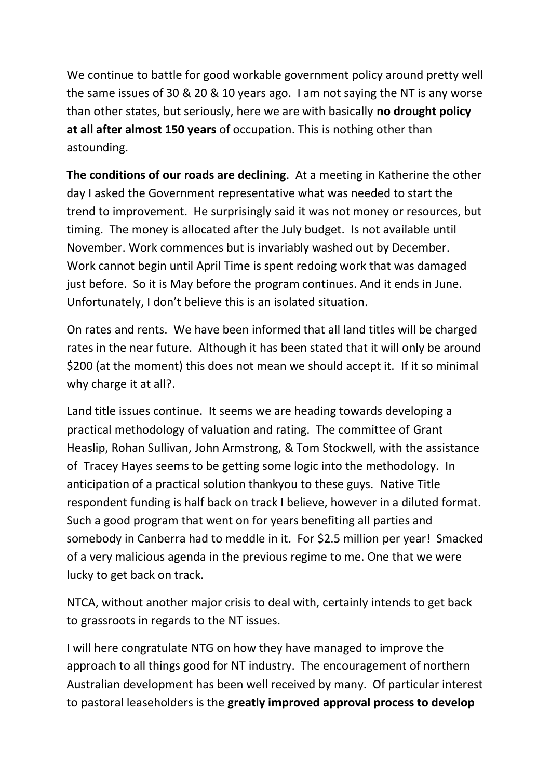We continue to battle for good workable government policy around pretty well the same issues of 30 & 20 & 10 years ago. I am not saying the NT is any worse than other states, but seriously, here we are with basically **no drought policy at all after almost 150 years** of occupation. This is nothing other than astounding.

**The conditions of our roads are declining**. At a meeting in Katherine the other day I asked the Government representative what was needed to start the trend to improvement. He surprisingly said it was not money or resources, but timing. The money is allocated after the July budget. Is not available until November. Work commences but is invariably washed out by December. Work cannot begin until April Time is spent redoing work that was damaged just before. So it is May before the program continues. And it ends in June. Unfortunately, I don't believe this is an isolated situation.

On rates and rents. We have been informed that all land titles will be charged rates in the near future. Although it has been stated that it will only be around \$200 (at the moment) this does not mean we should accept it. If it so minimal why charge it at all?.

Land title issues continue. It seems we are heading towards developing a practical methodology of valuation and rating. The committee of Grant Heaslip, Rohan Sullivan, John Armstrong, & Tom Stockwell, with the assistance of Tracey Hayes seems to be getting some logic into the methodology. In anticipation of a practical solution thankyou to these guys. Native Title respondent funding is half back on track I believe, however in a diluted format. Such a good program that went on for years benefiting all parties and somebody in Canberra had to meddle in it. For \$2.5 million per year! Smacked of a very malicious agenda in the previous regime to me. One that we were lucky to get back on track.

NTCA, without another major crisis to deal with, certainly intends to get back to grassroots in regards to the NT issues.

I will here congratulate NTG on how they have managed to improve the approach to all things good for NT industry. The encouragement of northern Australian development has been well received by many. Of particular interest to pastoral leaseholders is the **greatly improved approval process to develop**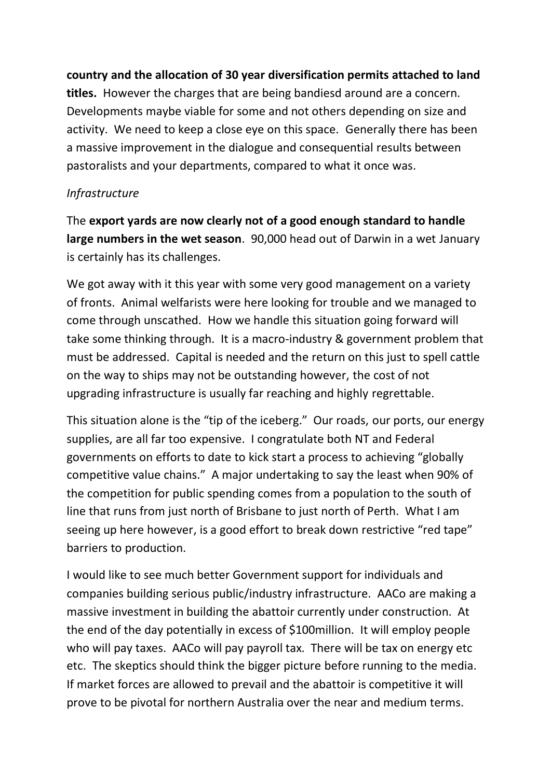**country and the allocation of 30 year diversification permits attached to land titles.** However the charges that are being bandiesd around are a concern. Developments maybe viable for some and not others depending on size and activity. We need to keep a close eye on this space. Generally there has been a massive improvement in the dialogue and consequential results between pastoralists and your departments, compared to what it once was.

## *Infrastructure*

The **export yards are now clearly not of a good enough standard to handle large numbers in the wet season**. 90,000 head out of Darwin in a wet January is certainly has its challenges.

We got away with it this year with some very good management on a variety of fronts. Animal welfarists were here looking for trouble and we managed to come through unscathed. How we handle this situation going forward will take some thinking through. It is a macro-industry & government problem that must be addressed. Capital is needed and the return on this just to spell cattle on the way to ships may not be outstanding however, the cost of not upgrading infrastructure is usually far reaching and highly regrettable.

This situation alone is the "tip of the iceberg." Our roads, our ports, our energy supplies, are all far too expensive. I congratulate both NT and Federal governments on efforts to date to kick start a process to achieving "globally competitive value chains." A major undertaking to say the least when 90% of the competition for public spending comes from a population to the south of line that runs from just north of Brisbane to just north of Perth. What I am seeing up here however, is a good effort to break down restrictive "red tape" barriers to production.

I would like to see much better Government support for individuals and companies building serious public/industry infrastructure. AACo are making a massive investment in building the abattoir currently under construction. At the end of the day potentially in excess of \$100million. It will employ people who will pay taxes. AACo will pay payroll tax. There will be tax on energy etc etc. The skeptics should think the bigger picture before running to the media. If market forces are allowed to prevail and the abattoir is competitive it will prove to be pivotal for northern Australia over the near and medium terms.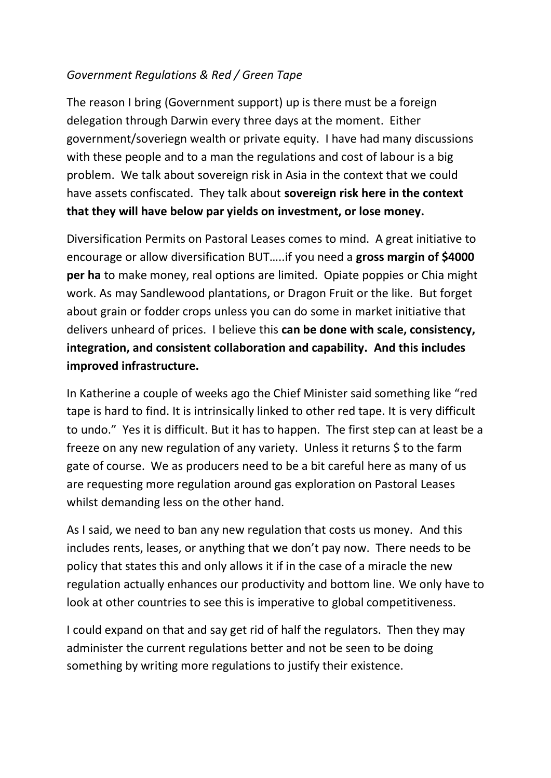# *Government Regulations & Red / Green Tape*

The reason I bring (Government support) up is there must be a foreign delegation through Darwin every three days at the moment. Either government/soveriegn wealth or private equity. I have had many discussions with these people and to a man the regulations and cost of labour is a big problem. We talk about sovereign risk in Asia in the context that we could have assets confiscated. They talk about **sovereign risk here in the context that they will have below par yields on investment, or lose money.** 

Diversification Permits on Pastoral Leases comes to mind. A great initiative to encourage or allow diversification BUT…..if you need a **gross margin of \$4000 per ha** to make money, real options are limited. Opiate poppies or Chia might work. As may Sandlewood plantations, or Dragon Fruit or the like. But forget about grain or fodder crops unless you can do some in market initiative that delivers unheard of prices. I believe this **can be done with scale, consistency, integration, and consistent collaboration and capability. And this includes improved infrastructure.**

In Katherine a couple of weeks ago the Chief Minister said something like "red tape is hard to find. It is intrinsically linked to other red tape. It is very difficult to undo." Yes it is difficult. But it has to happen. The first step can at least be a freeze on any new regulation of any variety. Unless it returns \$ to the farm gate of course. We as producers need to be a bit careful here as many of us are requesting more regulation around gas exploration on Pastoral Leases whilst demanding less on the other hand.

As I said, we need to ban any new regulation that costs us money. And this includes rents, leases, or anything that we don't pay now. There needs to be policy that states this and only allows it if in the case of a miracle the new regulation actually enhances our productivity and bottom line. We only have to look at other countries to see this is imperative to global competitiveness.

I could expand on that and say get rid of half the regulators. Then they may administer the current regulations better and not be seen to be doing something by writing more regulations to justify their existence.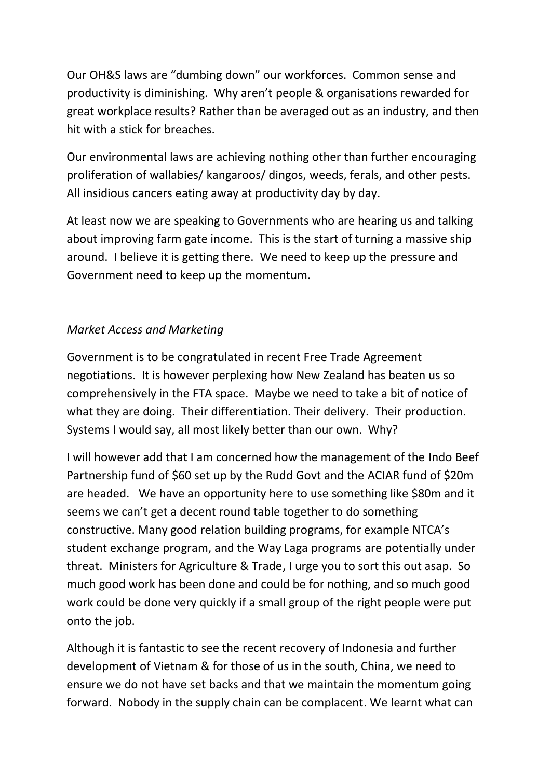Our OH&S laws are "dumbing down" our workforces. Common sense and productivity is diminishing. Why aren't people & organisations rewarded for great workplace results? Rather than be averaged out as an industry, and then hit with a stick for breaches.

Our environmental laws are achieving nothing other than further encouraging proliferation of wallabies/ kangaroos/ dingos, weeds, ferals, and other pests. All insidious cancers eating away at productivity day by day.

At least now we are speaking to Governments who are hearing us and talking about improving farm gate income. This is the start of turning a massive ship around. I believe it is getting there. We need to keep up the pressure and Government need to keep up the momentum.

## *Market Access and Marketing*

Government is to be congratulated in recent Free Trade Agreement negotiations. It is however perplexing how New Zealand has beaten us so comprehensively in the FTA space. Maybe we need to take a bit of notice of what they are doing. Their differentiation. Their delivery. Their production. Systems I would say, all most likely better than our own. Why?

I will however add that I am concerned how the management of the Indo Beef Partnership fund of \$60 set up by the Rudd Govt and the ACIAR fund of \$20m are headed. We have an opportunity here to use something like \$80m and it seems we can't get a decent round table together to do something constructive. Many good relation building programs, for example NTCA's student exchange program, and the Way Laga programs are potentially under threat. Ministers for Agriculture & Trade, I urge you to sort this out asap. So much good work has been done and could be for nothing, and so much good work could be done very quickly if a small group of the right people were put onto the job.

Although it is fantastic to see the recent recovery of Indonesia and further development of Vietnam & for those of us in the south, China, we need to ensure we do not have set backs and that we maintain the momentum going forward. Nobody in the supply chain can be complacent. We learnt what can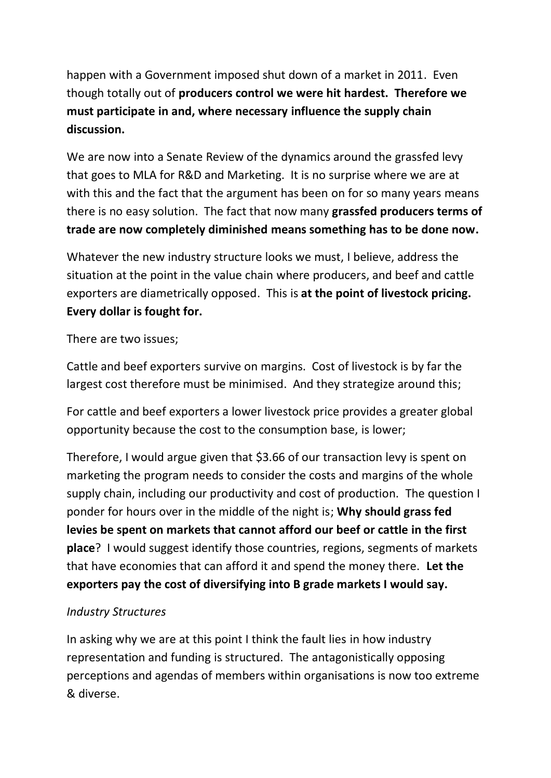happen with a Government imposed shut down of a market in 2011. Even though totally out of **producers control we were hit hardest. Therefore we must participate in and, where necessary influence the supply chain discussion.**

We are now into a Senate Review of the dynamics around the grassfed levy that goes to MLA for R&D and Marketing. It is no surprise where we are at with this and the fact that the argument has been on for so many years means there is no easy solution. The fact that now many **grassfed producers terms of trade are now completely diminished means something has to be done now.**

Whatever the new industry structure looks we must, I believe, address the situation at the point in the value chain where producers, and beef and cattle exporters are diametrically opposed. This is **at the point of livestock pricing. Every dollar is fought for.** 

There are two issues;

Cattle and beef exporters survive on margins. Cost of livestock is by far the largest cost therefore must be minimised. And they strategize around this;

For cattle and beef exporters a lower livestock price provides a greater global opportunity because the cost to the consumption base, is lower;

Therefore, I would argue given that \$3.66 of our transaction levy is spent on marketing the program needs to consider the costs and margins of the whole supply chain, including our productivity and cost of production. The question I ponder for hours over in the middle of the night is; **Why should grass fed levies be spent on markets that cannot afford our beef or cattle in the first place**? I would suggest identify those countries, regions, segments of markets that have economies that can afford it and spend the money there. **Let the exporters pay the cost of diversifying into B grade markets I would say.**

## *Industry Structures*

In asking why we are at this point I think the fault lies in how industry representation and funding is structured. The antagonistically opposing perceptions and agendas of members within organisations is now too extreme & diverse.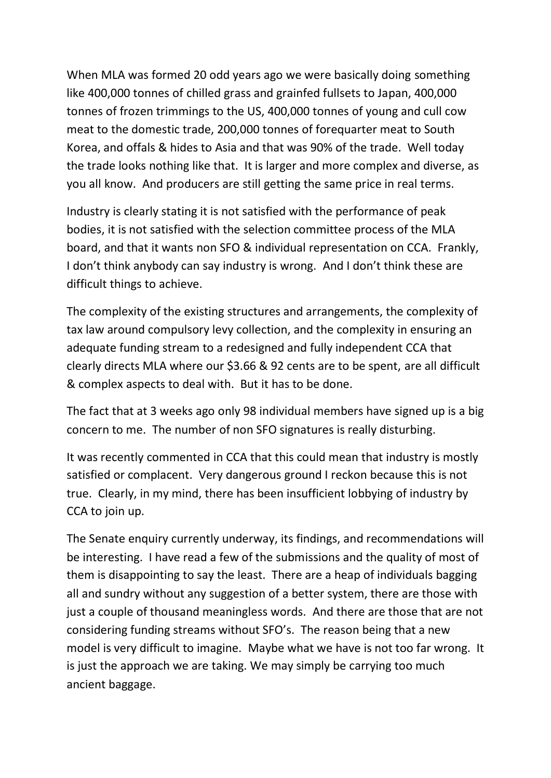When MLA was formed 20 odd years ago we were basically doing something like 400,000 tonnes of chilled grass and grainfed fullsets to Japan, 400,000 tonnes of frozen trimmings to the US, 400,000 tonnes of young and cull cow meat to the domestic trade, 200,000 tonnes of forequarter meat to South Korea, and offals & hides to Asia and that was 90% of the trade. Well today the trade looks nothing like that. It is larger and more complex and diverse, as you all know. And producers are still getting the same price in real terms.

Industry is clearly stating it is not satisfied with the performance of peak bodies, it is not satisfied with the selection committee process of the MLA board, and that it wants non SFO & individual representation on CCA. Frankly, I don't think anybody can say industry is wrong. And I don't think these are difficult things to achieve.

The complexity of the existing structures and arrangements, the complexity of tax law around compulsory levy collection, and the complexity in ensuring an adequate funding stream to a redesigned and fully independent CCA that clearly directs MLA where our \$3.66 & 92 cents are to be spent, are all difficult & complex aspects to deal with. But it has to be done.

The fact that at 3 weeks ago only 98 individual members have signed up is a big concern to me. The number of non SFO signatures is really disturbing.

It was recently commented in CCA that this could mean that industry is mostly satisfied or complacent. Very dangerous ground I reckon because this is not true. Clearly, in my mind, there has been insufficient lobbying of industry by CCA to join up.

The Senate enquiry currently underway, its findings, and recommendations will be interesting. I have read a few of the submissions and the quality of most of them is disappointing to say the least. There are a heap of individuals bagging all and sundry without any suggestion of a better system, there are those with just a couple of thousand meaningless words. And there are those that are not considering funding streams without SFO's. The reason being that a new model is very difficult to imagine. Maybe what we have is not too far wrong. It is just the approach we are taking. We may simply be carrying too much ancient baggage.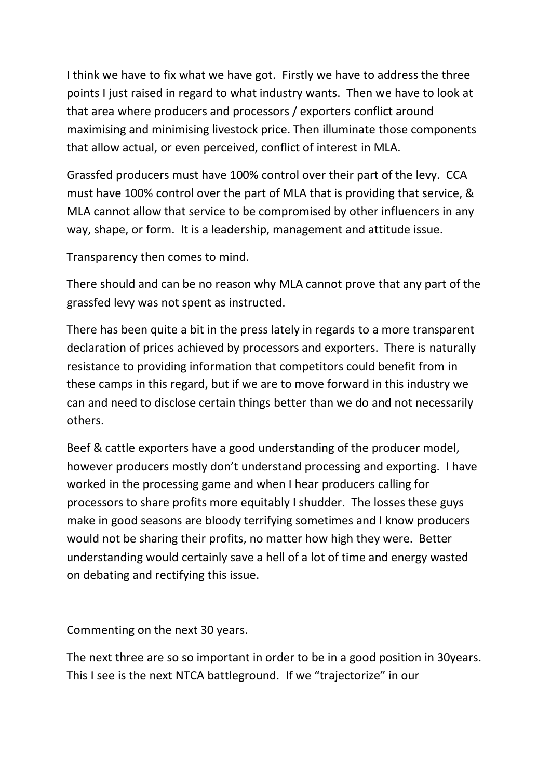I think we have to fix what we have got. Firstly we have to address the three points I just raised in regard to what industry wants. Then we have to look at that area where producers and processors / exporters conflict around maximising and minimising livestock price. Then illuminate those components that allow actual, or even perceived, conflict of interest in MLA.

Grassfed producers must have 100% control over their part of the levy. CCA must have 100% control over the part of MLA that is providing that service, & MLA cannot allow that service to be compromised by other influencers in any way, shape, or form. It is a leadership, management and attitude issue.

Transparency then comes to mind.

There should and can be no reason why MLA cannot prove that any part of the grassfed levy was not spent as instructed.

There has been quite a bit in the press lately in regards to a more transparent declaration of prices achieved by processors and exporters. There is naturally resistance to providing information that competitors could benefit from in these camps in this regard, but if we are to move forward in this industry we can and need to disclose certain things better than we do and not necessarily others.

Beef & cattle exporters have a good understanding of the producer model, however producers mostly don't understand processing and exporting. I have worked in the processing game and when I hear producers calling for processors to share profits more equitably I shudder. The losses these guys make in good seasons are bloody terrifying sometimes and I know producers would not be sharing their profits, no matter how high they were. Better understanding would certainly save a hell of a lot of time and energy wasted on debating and rectifying this issue.

Commenting on the next 30 years.

The next three are so so important in order to be in a good position in 30years. This I see is the next NTCA battleground. If we "trajectorize" in our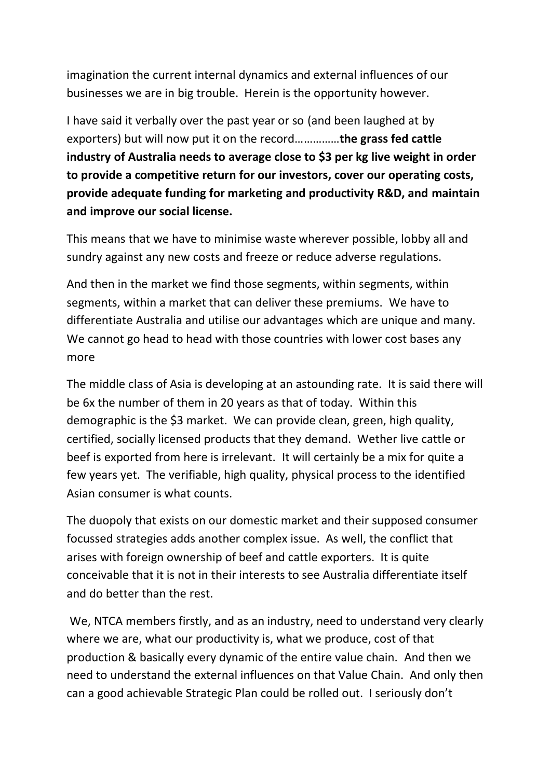imagination the current internal dynamics and external influences of our businesses we are in big trouble. Herein is the opportunity however.

I have said it verbally over the past year or so (and been laughed at by exporters) but will now put it on the record……………**the grass fed cattle industry of Australia needs to average close to \$3 per kg live weight in order to provide a competitive return for our investors, cover our operating costs, provide adequate funding for marketing and productivity R&D, and maintain and improve our social license.**

This means that we have to minimise waste wherever possible, lobby all and sundry against any new costs and freeze or reduce adverse regulations.

And then in the market we find those segments, within segments, within segments, within a market that can deliver these premiums. We have to differentiate Australia and utilise our advantages which are unique and many. We cannot go head to head with those countries with lower cost bases any more

The middle class of Asia is developing at an astounding rate. It is said there will be 6x the number of them in 20 years as that of today. Within this demographic is the \$3 market. We can provide clean, green, high quality, certified, socially licensed products that they demand. Wether live cattle or beef is exported from here is irrelevant. It will certainly be a mix for quite a few years yet. The verifiable, high quality, physical process to the identified Asian consumer is what counts.

The duopoly that exists on our domestic market and their supposed consumer focussed strategies adds another complex issue. As well, the conflict that arises with foreign ownership of beef and cattle exporters. It is quite conceivable that it is not in their interests to see Australia differentiate itself and do better than the rest.

We, NTCA members firstly, and as an industry, need to understand very clearly where we are, what our productivity is, what we produce, cost of that production & basically every dynamic of the entire value chain. And then we need to understand the external influences on that Value Chain. And only then can a good achievable Strategic Plan could be rolled out. I seriously don't